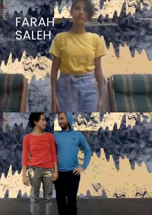## FARAH SALEH